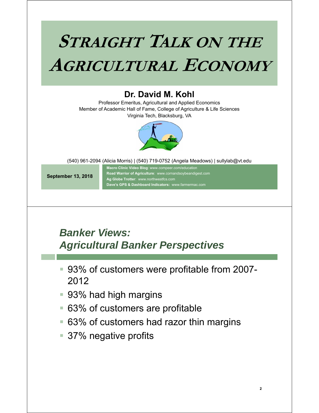# **STRAIGHT TALK ON THE AGRICULTURAL ECONOMY**

#### **Dr. David M. Kohl**

Professor Emeritus, Agricultural and Applied Economics Member of Academic Hall of Fame, College of Agriculture & Life Sciences Virginia Tech, Blacksburg, VA



(540) 961-2094 (Alicia Morris) | (540) 719-0752 (Angela Meadows) | sullylab@vt.edu

**September 13, 2018**

**Macro Clinic Video Blog**: www.compeer.com/education **Road Warrior of Agriculture**: www.cornandsoybeandigest.com **Ag Globe Trotter**: www.northwestfcs.com **Dave's GPS & Dashboard Indicators:** www.farmermac.com

#### *Banker Views: Agricultural Banker Perspectives*

- 93% of customers were profitable from 2007- 2012
- 93% had high margins
- 63% of customers are profitable
- 63% of customers had razor thin margins
- 37% negative profits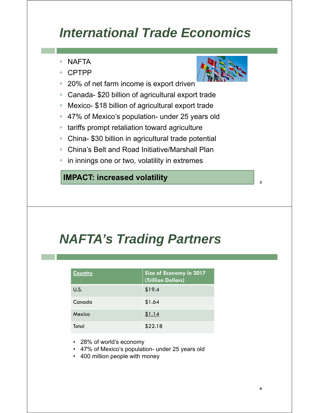# *International Trade Economics*

- **NAFTA**
- CPTPP
- 20% of net farm income is export driven
- Canada- \$20 billion of agricultural export trade
- Mexico- \$18 billion of agricultural export trade
- 47% of Mexico's population- under 25 years old
- **EXT** tariffs prompt retaliation toward agriculture
- China- \$30 billion in agricultural trade potential
- China's Belt and Road Initiative/Marshall Plan
- in innings one or two, volatility in extremes

#### **IMPACT: increased volatility**

# *NAFTA's Trading Partners*

| <b>Country</b> | Size of Economy in 2017<br>(Trillion Dollars) |
|----------------|-----------------------------------------------|
| U.S.           | \$19.4                                        |
| Canada         | \$1.64                                        |
| Mexico         | \$1.14                                        |
| Total          | \$22.18                                       |

- 28% of world's economy
- 47% of Mexico's population- under 25 years old
- 400 million people with money



**3**

**4**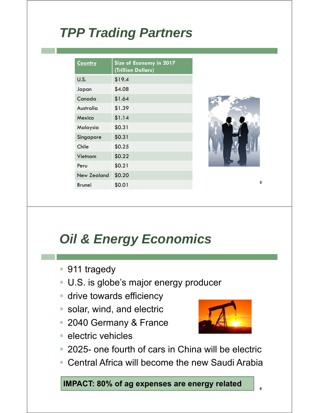# *TPP Trading Partners*

| <b>Country</b>     | Size of Economy in 2017<br>(Trillion Dollars) |
|--------------------|-----------------------------------------------|
| <b>U.S.</b>        | \$19.4                                        |
| Japan              | \$4.08                                        |
| Canada             | \$1.64                                        |
| Australia          | \$1.39                                        |
| Mexico             | \$1.14                                        |
| Malaysia           | \$0.31                                        |
| Singapore          | \$0.31                                        |
| Chile              | \$0.25                                        |
| Vietnam            | \$0.22                                        |
| Peru               | \$0.21                                        |
| <b>New Zealand</b> | \$0.20                                        |
| <b>Brunei</b>      | \$0.01                                        |



# *Oil & Energy Economics*

- 911 tragedy
- U.S. is globe's major energy producer
- **drive towards efficiency**
- **solar, wind, and electric**
- 2040 Germany & France
- $\blacksquare$  electric vehicles



**6**

- 2025- one fourth of cars in China will be electric
- Central Africa will become the new Saudi Arabia

**IMPACT: 80% of ag expenses are energy related**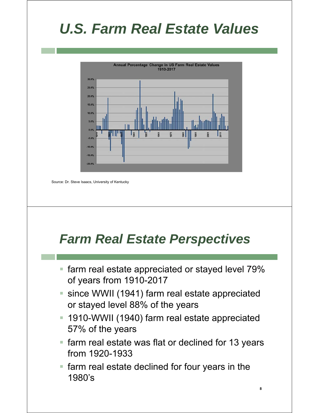# *U.S. Farm Real Estate Values*



Source: Dr. Steve Isaacs, University of Kentucky

# *Farm Real Estate Perspectives*

- **farm real estate appreciated or stayed level 79%** of years from 1910-2017
- since WWII (1941) farm real estate appreciated or stayed level 88% of the years
- 1910-WWII (1940) farm real estate appreciated 57% of the years
- **farm real estate was flat or declined for 13 years** from 1920-1933

**8**

**F** farm real estate declined for four years in the 1980's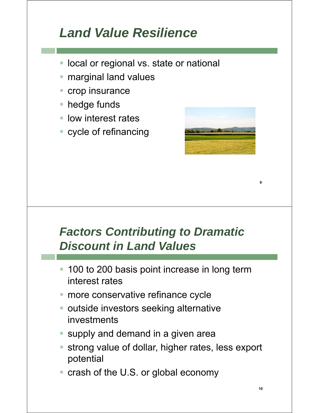# *Land Value Resilience*

- **local or regional vs. state or national**
- **F** marginal land values
- **crop insurance**
- hedge funds
- **If** low interest rates
- cycle of refinancing



### *Factors Contributing to Dramatic Discount in Land Values*

- 100 to 200 basis point increase in long term interest rates
- more conservative refinance cycle
- **outside investors seeking alternative** investments
- **supply and demand in a given areally**
- strong value of dollar, higher rates, less export potential
- crash of the U.S. or global economy

**9**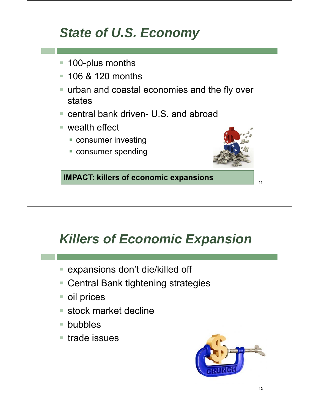# *State of U.S. Economy*

- **100-plus months**
- **106 & 120 months**
- urban and coastal economies and the fly over states
- central bank driven- U.S. and abroad
- wealth effect
	- **CONSUMER INVESTING**
	- **Consumer spending**



**11**

**IMPACT: killers of economic expansions**

# *Killers of Economic Expansion*

- expansions don't die/killed off
- Central Bank tightening strategies
- oil prices
- stock market decline
- bubbles
- trade issues

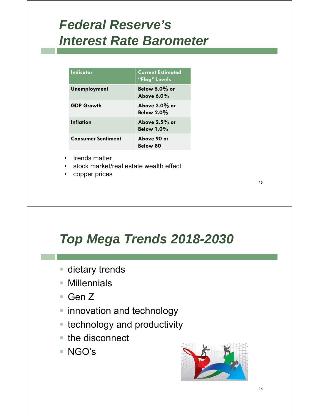# *Federal Reserve's Interest Rate Barometer*

| Indicator                 | <b>Current Estimated</b><br>"Flag" Levels |
|---------------------------|-------------------------------------------|
| <b>Unemployment</b>       | Below $5.0\%$ or<br>Above $6.0\%$         |
| <b>GDP Growth</b>         | Above $3.0\%$ or<br>Below $2.0\%$         |
| Inflation                 | Above $2.5\%$ or<br><b>Below 1.0%</b>     |
| <b>Consumer Sentiment</b> | Above 90 or<br>Below 80                   |

- trends matter
- stock market/real estate wealth effect
- copper prices

# *Top Mega Trends 2018-2030*

- dietary trends
- Millennials
- Gen Z
- **E** innovation and technology
- **E** technology and productivity
- the disconnect
- NGO's



**13**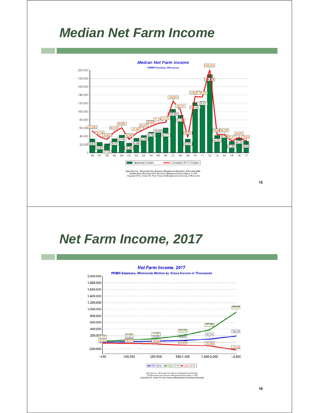### *Median Net Farm Income*



### *Net Farm Income, 2017*

#### Net Farm Income, 2017



Data Sources: Minnesota Farm Business Management Education.<br>SW Minnesota Farm Business Management Association, U of M<br>Copyright 2018, Center For Farm Financial Management, University of Mi